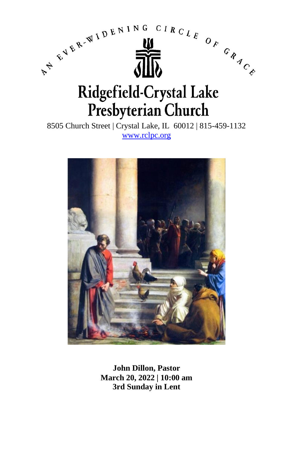

8505 Church Street | Crystal Lake, IL 60012 | 815-459-1132 [www.rclpc.org](http://www.rclpc.org/)



**John Dillon, Pastor March 20, 2022 | 10:00 am 3rd Sunday in Lent**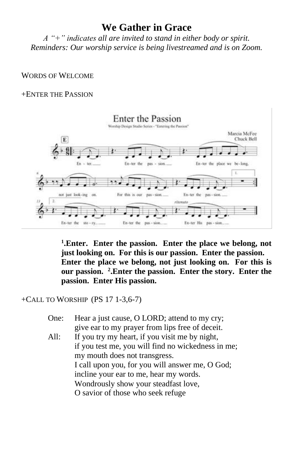# **We Gather in Grace**

*A "+" indicates all are invited to stand in either body or spirit. Reminders: Our worship service is being livestreamed and is on Zoom.*

### WORDS OF WELCOME

## +ENTER THE PASSION



**1 .Enter. Enter the passion. Enter the place we belong, not just looking on. For this is our passion. Enter the passion. Enter the place we belong, not just looking on. For this is our passion. <sup>2</sup> .Enter the passion. Enter the story. Enter the passion. Enter His passion.**

### +CALL TO WORSHIP (PS 17 1-3,6-7)

One: Hear a just cause, O LORD; attend to my cry; give ear to my prayer from lips free of deceit. All: If you try my heart, if you visit me by night, if you test me, you will find no wickedness in me; my mouth does not transgress. I call upon you, for you will answer me, O God; incline your ear to me, hear my words. Wondrously show your steadfast love, O savior of those who seek refuge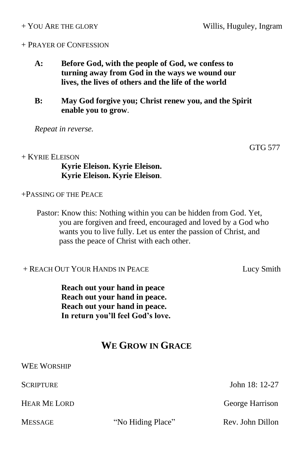#### + PRAYER OF CONFESSION

- **A: Before God, with the people of God, we confess to turning away from God in the ways we wound our lives, the lives of others and the life of the world**
- **B: May God forgive you; Christ renew you, and the Spirit enable you to grow**.

*Repeat in reverse.*

+ KYRIE ELEISON **Kyrie Eleison. Kyrie Eleison. Kyrie Eleison. Kyrie Eleison**.

+PASSING OF THE PEACE

Pastor: Know this: Nothing within you can be hidden from God. Yet, you are forgiven and freed, encouraged and loved by a God who wants you to live fully. Let us enter the passion of Christ, and pass the peace of Christ with each other.

+ REACH OUT YOUR HANDS IN PEACE Lucy Smith

**Reach out your hand in peace Reach out your hand in peace. Reach out your hand in peace. In return you'll feel God's love.**

# **WE GROW IN GRACE**

SCRIPTURE John 18: 12-27 HEAR ME LORD George Harrison MESSAGE "No Hiding Place" Rev. John Dillon

GTG 577

WEE WORSHIP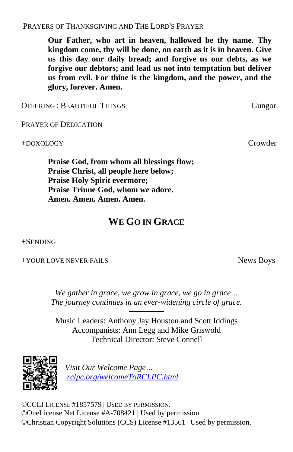PRAYERS OF THANKSGIVING AND THE LORD'S PRAYER

**Our Father, who art in heaven, hallowed be thy name. Thy kingdom come, thy will be done, on earth as it is in heaven. Give us this day our daily bread; and forgive us our debts, as we forgive our debtors; and lead us not into temptation but deliver us from evil. For thine is the kingdom, and the power, and the glory, forever. Amen.**

OFFERING : BEAUTIFUL THINGS Gungor

PRAYER OF DEDICATION

+DOXOLOGY Crowder

**Praise God, from whom all blessings flow; Praise Christ, all people here below; Praise Holy Spirit evermore; Praise Triune God, whom we adore. Amen. Amen. Amen. Amen.**

# **WE GO IN GRACE**

+SENDING

+YOUR LOVE NEVER FAILS News Boys

*We gather in grace, we grow in grace, we go in grace… The journey continues in an ever-widening circle of grace.*

────── Music Leaders: Anthony Jay Houston and Scott Iddings Accompanists: Ann Legg and Mike Griswold Technical Director: Steve Connell



*Visit Our Welcome Page… [rclpc.org/welcomeToRCLPC.html](http://rclpc.org/welcomeToRCLPC.html)*

©CCLI LICENSE #1857579 | USED BY PERMISSION. ©OneLicense.Net License #A-708421 | Used by permission. ©Christian Copyright Solutions (CCS) License #13561 | Used by permission.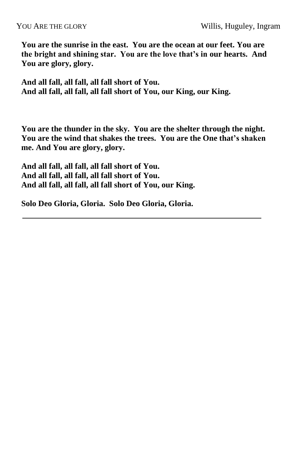**You are the sunrise in the east. You are the ocean at our feet. You are the bright and shining star. You are the love that's in our hearts. And You are glory, glory.**

**And all fall, all fall, all fall short of You. And all fall, all fall, all fall short of You, our King, our King.**

**You are the thunder in the sky. You are the shelter through the night. You are the wind that shakes the trees. You are the One that's shaken me. And You are glory, glory.**

**And all fall, all fall, all fall short of You. And all fall, all fall, all fall short of You. And all fall, all fall, all fall short of You, our King.**

**Solo Deo Gloria, Gloria. Solo Deo Gloria, Gloria.**